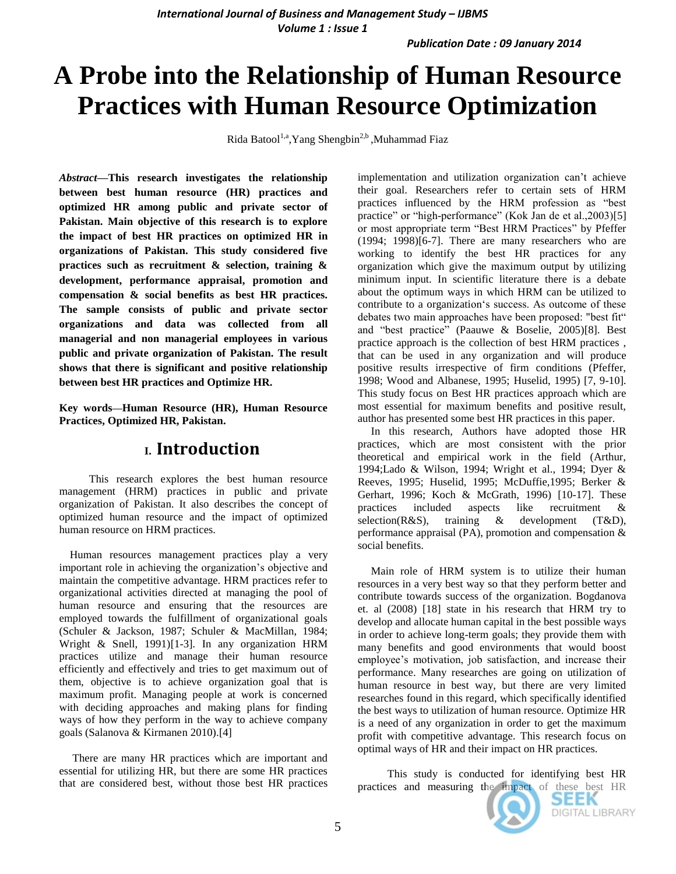# **A Probe into the Relationship of Human Resource Practices with Human Resource Optimization**

Rida Batool<sup>1,a</sup>, Yang Shengbin<sup>2,b</sup>, Muhammad Fiaz

*Abstract***—This research investigates the relationship between best human resource (HR) practices and optimized HR among public and private sector of Pakistan. Main objective of this research is to explore the impact of best HR practices on optimized HR in organizations of Pakistan. This study considered five practices such as recruitment & selection, training & development, performance appraisal, promotion and compensation & social benefits as best HR practices. The sample consists of public and private sector organizations and data was collected from all managerial and non managerial employees in various public and private organization of Pakistan. The result shows that there is significant and positive relationship between best HR practices and Optimize HR.**

**Key words—Human Resource (HR), Human Resource Practices, Optimized HR, Pakistan.**

## **I. Introduction**

This research explores the best human resource management (HRM) practices in public and private organization of Pakistan. It also describes the concept of optimized human resource and the impact of optimized human resource on HRM practices.

 Human resources management practices play a very important role in achieving the organization's objective and maintain the competitive advantage. HRM practices refer to organizational activities directed at managing the pool of human resource and ensuring that the resources are employed towards the fulfillment of organizational goals (Schuler & Jackson, 1987; Schuler & MacMillan, 1984; Wright & Snell, 1991)[1-3]. In any organization HRM practices utilize and manage their human resource efficiently and effectively and tries to get maximum out of them, objective is to achieve organization goal that is maximum profit. Managing people at work is concerned with deciding approaches and making plans for finding ways of how they perform in the way to achieve company goals (Salanova & Kirmanen 2010).[4]

 There are many HR practices which are important and essential for utilizing HR, but there are some HR practices that are considered best, without those best HR practices

implementation and utilization organization can"t achieve their goal. Researchers refer to certain sets of HRM practices influenced by the HRM profession as "best practice" or "high-performance" (Kok Jan de et al.,2003)[5] or most appropriate term "Best HRM Practices" by Pfeffer (1994; 1998)[6-7]. There are many researchers who are working to identify the best HR practices for any organization which give the maximum output by utilizing minimum input. In scientific literature there is a debate about the optimum ways in which HRM can be utilized to contribute to a organization's success. As outcome of these debates two main approaches have been proposed: "best fit" and "best practice" (Paauwe & Boselie, 2005)[8]. Best practice approach is the collection of best HRM practices , that can be used in any organization and will produce positive results irrespective of firm conditions (Pfeffer, 1998; Wood and Albanese, 1995; Huselid, 1995) [7, 9-10]. This study focus on Best HR practices approach which are most essential for maximum benefits and positive result, author has presented some best HR practices in this paper.

 In this research, Authors have adopted those HR practices, which are most consistent with the prior theoretical and empirical work in the field (Arthur, 1994;Lado & Wilson, 1994; Wright et al., 1994; Dyer & Reeves, 1995; Huselid, 1995; McDuffie,1995; Berker & Gerhart, 1996; Koch & McGrath, 1996) [10-17]. These practices included aspects like recruitment & selection(R&S), training & development (T&D), performance appraisal (PA), promotion and compensation & social benefits.

 Main role of HRM system is to utilize their human resources in a very best way so that they perform better and contribute towards success of the organization. Bogdanova et. al (2008) [18] state in his research that HRM try to develop and allocate human capital in the best possible ways in order to achieve long-term goals; they provide them with many benefits and good environments that would boost employee"s motivation, job satisfaction, and increase their performance. Many researches are going on utilization of human resource in best way, but there are very limited researches found in this regard, which specifically identified the best ways to utilization of human resource. Optimize HR is a need of any organization in order to get the maximum profit with competitive advantage. This research focus on optimal ways of HR and their impact on HR practices.

This study is conducted for identifying best HR practices and measuring the impact of these best HR

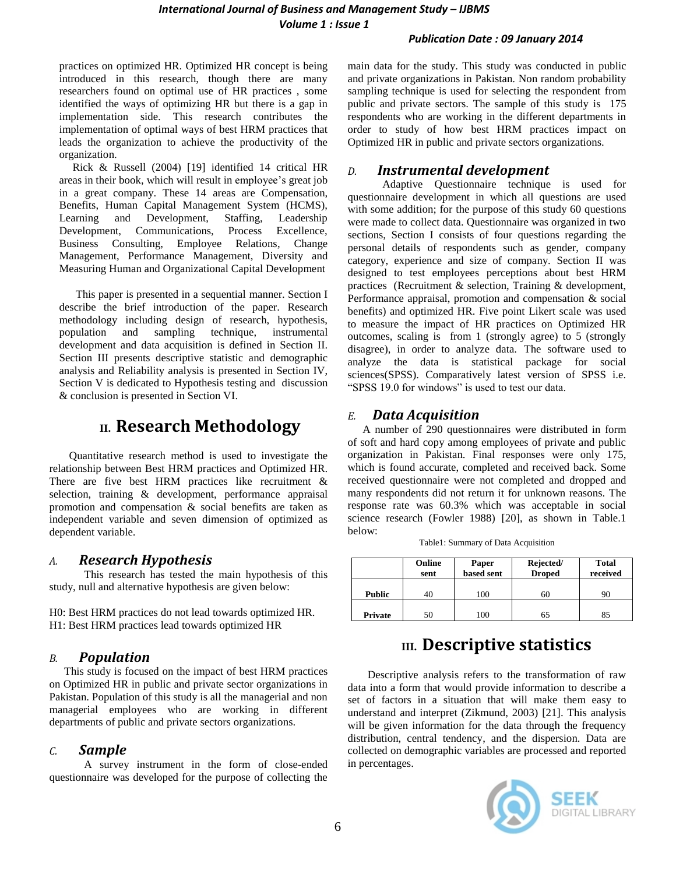practices on optimized HR. Optimized HR concept is being introduced in this research, though there are many researchers found on optimal use of HR practices , some identified the ways of optimizing HR but there is a gap in implementation side. This research contributes the implementation of optimal ways of best HRM practices that leads the organization to achieve the productivity of the organization.

 Rick & Russell (2004) [19] identified 14 critical HR areas in their book, which will result in employee"s great job in a great company. These 14 areas are Compensation, Benefits, Human Capital Management System (HCMS), Learning and Development, Staffing, Leadership Development, Communications, Process Excellence, Business Consulting, Employee Relations, Change Management, Performance Management, Diversity and Measuring Human and Organizational Capital Development

 This paper is presented in a sequential manner. Section I describe the brief introduction of the paper. Research methodology including design of research, hypothesis, population and sampling technique, instrumental development and data acquisition is defined in Section II. Section III presents descriptive statistic and demographic analysis and Reliability analysis is presented in Section IV, Section V is dedicated to Hypothesis testing and discussion & conclusion is presented in Section VI.

# **II. Research Methodology**

Quantitative research method is used to investigate the relationship between Best HRM practices and Optimized HR. There are five best HRM practices like recruitment  $\&$ selection, training & development, performance appraisal promotion and compensation & social benefits are taken as independent variable and seven dimension of optimized as dependent variable.

### *A. Research Hypothesis*

This research has tested the main hypothesis of this study, null and alternative hypothesis are given below:

H0: Best HRM practices do not lead towards optimized HR. H1: Best HRM practices lead towards optimized HR

### *B. Population*

This study is focused on the impact of best HRM practices on Optimized HR in public and private sector organizations in Pakistan. Population of this study is all the managerial and non managerial employees who are working in different departments of public and private sectors organizations.

### *C. Sample*

A survey instrument in the form of close-ended questionnaire was developed for the purpose of collecting the main data for the study. This study was conducted in public and private organizations in Pakistan. Non random probability sampling technique is used for selecting the respondent from public and private sectors. The sample of this study is 175 respondents who are working in the different departments in order to study of how best HRM practices impact on Optimized HR in public and private sectors organizations.

### *D. Instrumental development*

Adaptive Questionnaire technique is used for questionnaire development in which all questions are used with some addition; for the purpose of this study 60 questions were made to collect data. Questionnaire was organized in two sections, Section I consists of four questions regarding the personal details of respondents such as gender, company category, experience and size of company. Section II was designed to test employees perceptions about best HRM practices (Recruitment & selection, Training & development, Performance appraisal, promotion and compensation & social benefits) and optimized HR. Five point Likert scale was used to measure the impact of HR practices on Optimized HR outcomes, scaling is from 1 (strongly agree) to 5 (strongly disagree), in order to analyze data. The software used to analyze the data is statistical package for social sciences(SPSS). Comparatively latest version of SPSS i.e. "SPSS 19.0 for windows" is used to test our data.

## *E. Data Acquisition*

A number of 290 questionnaires were distributed in form of soft and hard copy among employees of private and public organization in Pakistan. Final responses were only 175, which is found accurate, completed and received back. Some received questionnaire were not completed and dropped and many respondents did not return it for unknown reasons. The response rate was 60.3% which was acceptable in social science research (Fowler 1988) [20], as shown in Table.1 below:

|               | Online<br>sent | Paper<br>based sent | Rejected/<br><b>Droped</b> | <b>Total</b><br>received |
|---------------|----------------|---------------------|----------------------------|--------------------------|
| <b>Public</b> |                | 100                 | 61                         |                          |
| Private       | 50             | $^{00}$             |                            | 85                       |

# **III. Descriptive statistics**

Descriptive analysis refers to the transformation of raw data into a form that would provide information to describe a set of factors in a situation that will make them easy to understand and interpret (Zikmund, 2003) [21]. This analysis will be given information for the data through the frequency distribution, central tendency, and the dispersion. Data are collected on demographic variables are processed and reported in percentages.

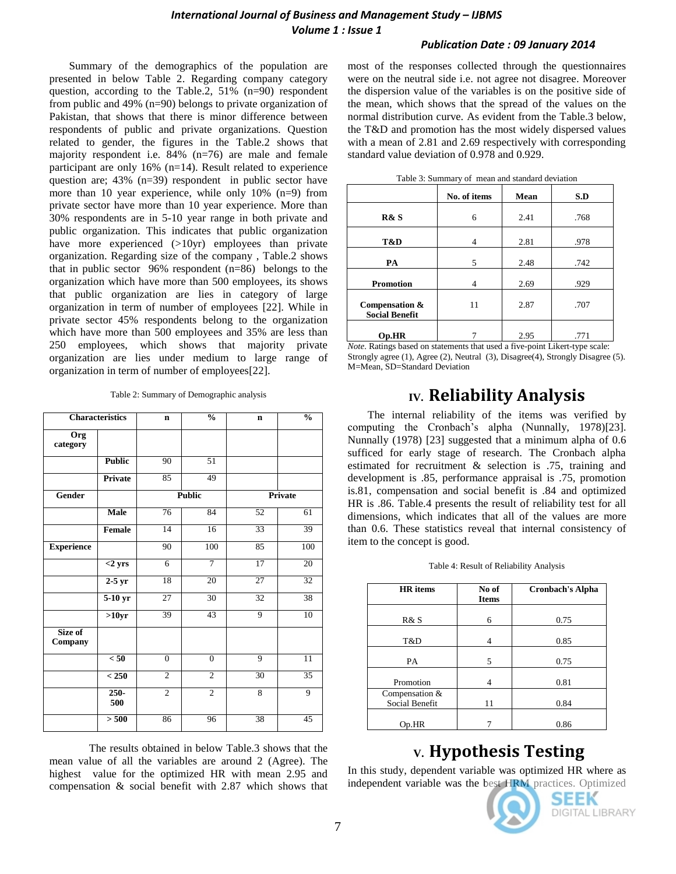#### *International Journal of Business and Management Study – IJBMS Volume 1 : Issue 1*

#### *Publication Date : 09 January 2014*

Summary of the demographics of the population are presented in below Table 2. Regarding company category question, according to the Table.2, 51% (n=90) respondent from public and 49% (n=90) belongs to private organization of Pakistan, that shows that there is minor difference between respondents of public and private organizations. Question related to gender, the figures in the Table.2 shows that majority respondent i.e. 84% (n=76) are male and female participant are only 16% (n=14). Result related to experience question are; 43% (n=39) respondent in public sector have more than 10 year experience, while only 10% (n=9) from private sector have more than 10 year experience. More than 30% respondents are in 5-10 year range in both private and public organization. This indicates that public organization have more experienced (>10yr) employees than private organization. Regarding size of the company , Table.2 shows that in public sector 96% respondent (n=86) belongs to the organization which have more than 500 employees, its shows that public organization are lies in category of large organization in term of number of employees [22]. While in private sector 45% respondents belong to the organization which have more than 500 employees and 35% are less than 250 employees, which shows that majority private organization are lies under medium to large range of organization in term of number of employees[22].

Table 2: Summary of Demographic analysis

| <b>Characteristics</b> |                | $\mathbf n$     | $\frac{0}{0}$   | $\mathbf n$     | $\frac{0}{0}$   |
|------------------------|----------------|-----------------|-----------------|-----------------|-----------------|
| Org<br>category        |                |                 |                 |                 |                 |
|                        | <b>Public</b>  | 90              | $\overline{51}$ |                 |                 |
|                        | Private        | 85              | 49              |                 |                 |
| Gender                 |                |                 | <b>Public</b>   |                 | Private         |
|                        | <b>Male</b>    | 76              | 84              | 52              | 61              |
|                        | Female         | $\overline{14}$ | 16              | 33              | 39              |
| <b>Experience</b>      |                | 90              | 100             | 85              | 100             |
|                        | $<$ 2 yrs      | $\overline{6}$  | 7               | 17              | 20              |
|                        | $2-5$ yr       | 18              | 20              | $\overline{27}$ | $\overline{32}$ |
|                        | $5-10$ yr      | 27              | 30              | 32              | $\overline{38}$ |
|                        | >10yr          | 39              | 43              | 9               | 10              |
| Size of<br>Company     |                |                 |                 |                 |                 |
|                        | < 50           | $\overline{0}$  | $\overline{0}$  | 9               | $\overline{11}$ |
|                        | < 250          | $\overline{2}$  | $\overline{2}$  | 30              | $\overline{35}$ |
|                        | $250 -$<br>500 | $\overline{2}$  | $\overline{2}$  | 8               | $\overline{9}$  |
|                        | > 500          | 86              | 96              | 38              | 45              |

The results obtained in below Table.3 shows that the mean value of all the variables are around 2 (Agree). The highest value for the optimized HR with mean 2.95 and compensation & social benefit with 2.87 which shows that most of the responses collected through the questionnaires were on the neutral side i.e. not agree not disagree. Moreover the dispersion value of the variables is on the positive side of the mean, which shows that the spread of the values on the normal distribution curve. As evident from the Table.3 below, the T&D and promotion has the most widely dispersed values with a mean of 2.81 and 2.69 respectively with corresponding standard value deviation of 0.978 and 0.929.

|                                         | No. of items | Mean | S.D  |
|-----------------------------------------|--------------|------|------|
| R& S                                    | 6            | 2.41 | .768 |
| T&D                                     | 4            | 2.81 | .978 |
| PA                                      | 5            | 2.48 | .742 |
| <b>Promotion</b>                        | 4            | 2.69 | .929 |
| Compensation &<br><b>Social Benefit</b> | 11           | 2.87 | .707 |
| Op.HR                                   |              | 2.95 | .771 |

*Note.* Ratings based on statements that used a five-point Likert-type scale: Strongly agree (1), Agree (2), Neutral (3), Disagree(4), Strongly Disagree (5). M=Mean, SD=Standard Deviation

# **IV. Reliability Analysis**

The internal reliability of the items was verified by computing the Cronbach"s alpha (Nunnally, 1978)[23]. Nunnally (1978) [23] suggested that a minimum alpha of 0.6 sufficed for early stage of research. The Cronbach alpha estimated for recruitment & selection is .75, training and development is .85, performance appraisal is .75, promotion is.81, compensation and social benefit is .84 and optimized HR is .86. Table.4 presents the result of reliability test for all dimensions, which indicates that all of the values are more than 0.6. These statistics reveal that internal consistency of item to the concept is good.

|  |  |  |  |  |  | Table 4: Result of Reliability Analysis |
|--|--|--|--|--|--|-----------------------------------------|
|--|--|--|--|--|--|-----------------------------------------|

| <b>HR</b> items                  | No of<br><b>Items</b> | <b>Cronbach's Alpha</b> |
|----------------------------------|-----------------------|-------------------------|
| R& S                             | 6                     | 0.75                    |
| T&D                              | 4                     | 0.85                    |
| PA                               | 5                     | 0.75                    |
| Promotion                        | 4                     | 0.81                    |
| Compensation &<br>Social Benefit | 11                    | 0.84                    |
| Op.HR                            |                       | 0.86                    |

# **V. Hypothesis Testing**

In this study, dependent variable was optimized HR where as independent variable was the best HRM practices. Optimized

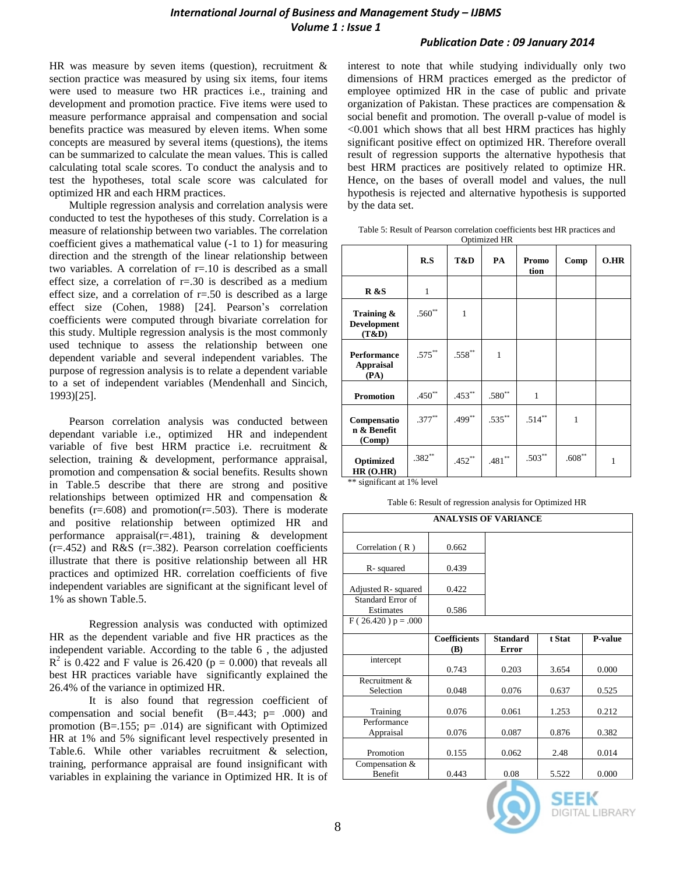HR was measure by seven items (question), recruitment & section practice was measured by using six items, four items were used to measure two HR practices i.e., training and development and promotion practice. Five items were used to measure performance appraisal and compensation and social benefits practice was measured by eleven items. When some concepts are measured by several items (questions), the items can be summarized to calculate the mean values. This is called calculating total scale scores. To conduct the analysis and to test the hypotheses, total scale score was calculated for optimized HR and each HRM practices.

Multiple regression analysis and correlation analysis were conducted to test the hypotheses of this study. Correlation is a measure of relationship between two variables. The correlation coefficient gives a mathematical value (-1 to 1) for measuring direction and the strength of the linear relationship between two variables. A correlation of  $r=10$  is described as a small effect size, a correlation of  $r=.30$  is described as a medium effect size, and a correlation of  $r = .50$  is described as a large effect size (Cohen, 1988) [24]. Pearson's correlation coefficients were computed through bivariate correlation for this study. Multiple regression analysis is the most commonly used technique to assess the relationship between one dependent variable and several independent variables. The purpose of regression analysis is to relate a dependent variable to a set of independent variables (Mendenhall and Sincich, 1993)[25].

Pearson correlation analysis was conducted between dependant variable i.e., optimized HR and independent variable of five best HRM practice i.e. recruitment & selection, training & development, performance appraisal, promotion and compensation & social benefits. Results shown in Table.5 describe that there are strong and positive relationships between optimized HR and compensation & benefits  $(r=.608)$  and promotion $(r=.503)$ . There is moderate and positive relationship between optimized HR and performance appraisal( $r = .481$ ), training & development  $(r=.452)$  and R&S  $(r=.382)$ . Pearson correlation coefficients illustrate that there is positive relationship between all HR practices and optimized HR. correlation coefficients of five independent variables are significant at the significant level of 1% as shown Table.5.

Regression analysis was conducted with optimized HR as the dependent variable and five HR practices as the independent variable. According to the table 6 , the adjusted  $R^2$  is 0.422 and F value is 26.420 (p = 0.000) that reveals all best HR practices variable have significantly explained the 26.4% of the variance in optimized HR.

It is also found that regression coefficient of compensation and social benefit  $(B=.443; p=.000)$  and promotion (B=.155;  $p=$  .014) are significant with Optimized HR at 1% and 5% significant level respectively presented in Table.6. While other variables recruitment & selection, training, performance appraisal are found insignificant with variables in explaining the variance in Optimized HR. It is of

interest to note that while studying individually only two dimensions of HRM practices emerged as the predictor of employee optimized HR in the case of public and private organization of Pakistan. These practices are compensation & social benefit and promotion. The overall p-value of model is <0.001 which shows that all best HRM practices has highly significant positive effect on optimized HR. Therefore overall result of regression supports the alternative hypothesis that best HRM practices are positively related to optimize HR. Hence, on the bases of overall model and values, the null hypothesis is rejected and alternative hypothesis is supported by the data set.

Table 5: Result of Pearson correlation coefficients best HR practices and Optimized HR

|                                           |              |                   | Optimized TIN     |               |                   |      |
|-------------------------------------------|--------------|-------------------|-------------------|---------------|-------------------|------|
|                                           | R.S          | T&D               | PA                | Promo<br>tion | Comp              | O.HR |
| <b>R</b> &S                               | $\mathbf{1}$ |                   |                   |               |                   |      |
| Training &<br><b>Development</b><br>(T&D) | $.560**$     | 1                 |                   |               |                   |      |
| Performance<br><b>Appraisal</b><br>(PA)   | $.575***$    | $.558^{\ast\ast}$ | 1                 |               |                   |      |
| <b>Promotion</b>                          | $.450**$     | $.453***$         | $.580^{\ast\ast}$ | 1             |                   |      |
| Compensatio<br>n & Benefit<br>(Comp)      | $.377**$     | $.499**$          | $.535***$         | $.514***$     | $\mathbf{1}$      |      |
| Optimized<br>HR(O.HR)                     | $.382**$     | $.452***$         | $.481^{\ast\ast}$ | $.503**$      | $.608^{\ast\ast}$ | 1    |

\*\* significant at 1% level

|  |  | Table 6: Result of regression analysis for Optimized HR |
|--|--|---------------------------------------------------------|
|  |  |                                                         |

| <b>ANALYSIS OF VARIANCE</b>    |                            |                          |        |         |  |  |
|--------------------------------|----------------------------|--------------------------|--------|---------|--|--|
| Correlation $(R)$              | 0.662                      |                          |        |         |  |  |
| R-squared                      | 0.439                      |                          |        |         |  |  |
| Adjusted R- squared            | 0.422                      |                          |        |         |  |  |
| Standard Error of<br>Estimates | 0.586                      |                          |        |         |  |  |
| $F(26.420) p = .000$           |                            |                          |        |         |  |  |
|                                | <b>Coefficients</b><br>(B) | <b>Standard</b><br>Error | t Stat | P-value |  |  |
| intercept                      |                            |                          |        |         |  |  |
|                                | 0.743                      | 0.203                    | 3.654  | 0.000   |  |  |
| Recruitment &<br>Selection     | 0.048                      | 0.076                    | 0.637  | 0.525   |  |  |
| Training                       | 0.076                      | 0.061                    | 1.253  | 0.212   |  |  |
| Performance<br>Appraisal       | 0.076                      | 0.087                    | 0.876  | 0.382   |  |  |
| Promotion                      | 0.155                      | 0.062                    | 2.48   | 0.014   |  |  |
| Compensation &<br>Benefit      | 0.443                      | 0.08                     | 5.522  | 0.000   |  |  |